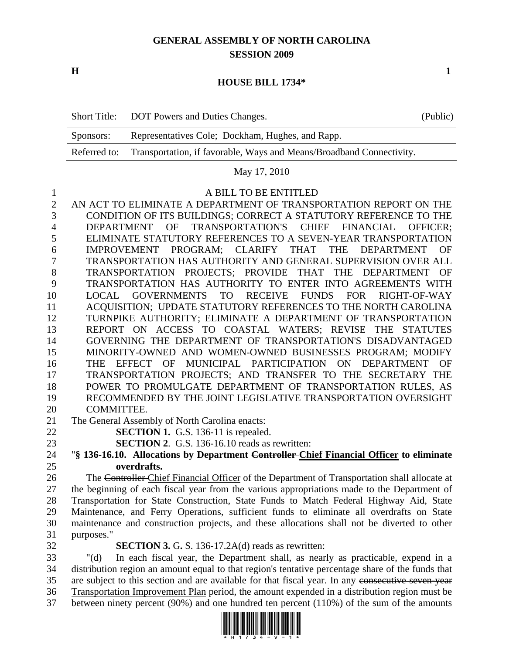# **GENERAL ASSEMBLY OF NORTH CAROLINA SESSION 2009**

**H** 1

## **HOUSE BILL 1734\***

|           | Short Title: DOT Powers and Duties Changes.                                       | (Public) |
|-----------|-----------------------------------------------------------------------------------|----------|
| Sponsors: | Representatives Cole; Dockham, Hughes, and Rapp.                                  |          |
|           | Referred to: Transportation, if favorable, Ways and Means/Broadband Connectivity. |          |

#### May 17, 2010

### 1 A BILL TO BE ENTITLED

2 AN ACT TO ELIMINATE A DEPARTMENT OF TRANSPORTATION REPORT ON THE 3 CONDITION OF ITS BUILDINGS; CORRECT A STATUTORY REFERENCE TO THE 4 DEPARTMENT OF TRANSPORTATION'S CHIEF FINANCIAL OFFICER; 5 ELIMINATE STATUTORY REFERENCES TO A SEVEN-YEAR TRANSPORTATION 6 IMPROVEMENT PROGRAM; CLARIFY THAT THE DEPARTMENT OF 7 TRANSPORTATION HAS AUTHORITY AND GENERAL SUPERVISION OVER ALL 8 TRANSPORTATION PROJECTS; PROVIDE THAT THE DEPARTMENT OF 9 TRANSPORTATION HAS AUTHORITY TO ENTER INTO AGREEMENTS WITH 10 LOCAL GOVERNMENTS TO RECEIVE FUNDS FOR RIGHT-OF-WAY 11 ACQUISITION; UPDATE STATUTORY REFERENCES TO THE NORTH CAROLINA 12 TURNPIKE AUTHORITY; ELIMINATE A DEPARTMENT OF TRANSPORTATION 13 REPORT ON ACCESS TO COASTAL WATERS; REVISE THE STATUTES 14 GOVERNING THE DEPARTMENT OF TRANSPORTATION'S DISADVANTAGED 15 MINORITY-OWNED AND WOMEN-OWNED BUSINESSES PROGRAM; MODIFY 16 THE EFFECT OF MUNICIPAL PARTICIPATION ON DEPARTMENT OF 17 TRANSPORTATION PROJECTS; AND TRANSFER TO THE SECRETARY THE 18 POWER TO PROMULGATE DEPARTMENT OF TRANSPORTATION RULES, AS 19 RECOMMENDED BY THE JOINT LEGISLATIVE TRANSPORTATION OVERSIGHT 20 COMMITTEE.

21 The General Assembly of North Carolina enacts:

22 **SECTION 1.** G.S. 136-11 is repealed.

23 **SECTION 2**. G.S. 136-16.10 reads as rewritten:

## 24 "**§ 136-16.10. Allocations by Department Controller Chief Financial Officer to eliminate**  25 **overdrafts.**

26 The Controller Chief Financial Officer of the Department of Transportation shall allocate at 27 the beginning of each fiscal year from the various appropriations made to the Department of 28 Transportation for State Construction, State Funds to Match Federal Highway Aid, State 29 Maintenance, and Ferry Operations, sufficient funds to eliminate all overdrafts on State 30 maintenance and construction projects, and these allocations shall not be diverted to other 31 purposes."

32 **SECTION 3.** G**.** S. 136-17.2A(d) reads as rewritten:

33 "(d) In each fiscal year, the Department shall, as nearly as practicable, expend in a 34 distribution region an amount equal to that region's tentative percentage share of the funds that 35 are subject to this section and are available for that fiscal year. In any consecutive seven-year 36 Transportation Improvement Plan period, the amount expended in a distribution region must be 37 between ninety percent (90%) and one hundred ten percent (110%) of the sum of the amounts

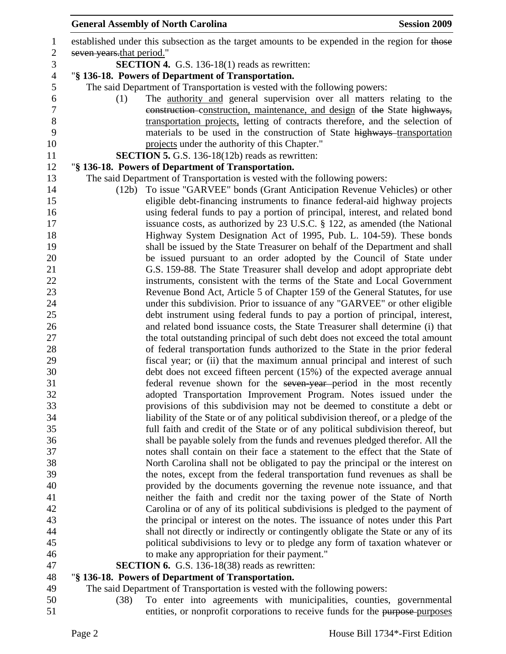| $\mathbf{1}$     | established under this subsection as the target amounts to be expended in the region for those                                                                 |
|------------------|----------------------------------------------------------------------------------------------------------------------------------------------------------------|
| $\sqrt{2}$       | seven years that period."                                                                                                                                      |
| 3                | <b>SECTION 4.</b> G.S. 136-18(1) reads as rewritten:                                                                                                           |
| $\overline{4}$   | "§ 136-18. Powers of Department of Transportation.                                                                                                             |
| 5                | The said Department of Transportation is vested with the following powers:                                                                                     |
| $\boldsymbol{6}$ | The <u>authority and</u> general supervision over all matters relating to the<br>(1)                                                                           |
| $\boldsymbol{7}$ | construction-construction, maintenance, and design of the State highways,                                                                                      |
| $8\,$            | transportation projects, letting of contracts therefore, and the selection of                                                                                  |
| 9                | materials to be used in the construction of State highways-transportation                                                                                      |
| 10               | projects under the authority of this Chapter."                                                                                                                 |
| 11               | <b>SECTION 5.</b> G.S. 136-18(12b) reads as rewritten:                                                                                                         |
| 12               | "§ 136-18. Powers of Department of Transportation.                                                                                                             |
| 13               | The said Department of Transportation is vested with the following powers:                                                                                     |
| 14               | To issue "GARVEE" bonds (Grant Anticipation Revenue Vehicles) or other<br>(12b)                                                                                |
| 15               | eligible debt-financing instruments to finance federal-aid highway projects                                                                                    |
| 16               | using federal funds to pay a portion of principal, interest, and related bond                                                                                  |
| 17               | issuance costs, as authorized by 23 U.S.C. § 122, as amended (the National                                                                                     |
| 18               | Highway System Designation Act of 1995, Pub. L. 104-59). These bonds                                                                                           |
| 19               | shall be issued by the State Treasurer on behalf of the Department and shall                                                                                   |
| 20               | be issued pursuant to an order adopted by the Council of State under                                                                                           |
| 21               | G.S. 159-88. The State Treasurer shall develop and adopt appropriate debt                                                                                      |
| 22               | instruments, consistent with the terms of the State and Local Government                                                                                       |
| 23               | Revenue Bond Act, Article 5 of Chapter 159 of the General Statutes, for use                                                                                    |
| 24               | under this subdivision. Prior to issuance of any "GARVEE" or other eligible                                                                                    |
| 25               | debt instrument using federal funds to pay a portion of principal, interest,                                                                                   |
| 26               | and related bond issuance costs, the State Treasurer shall determine (i) that                                                                                  |
| 27               | the total outstanding principal of such debt does not exceed the total amount                                                                                  |
| 28               | of federal transportation funds authorized to the State in the prior federal                                                                                   |
| 29               | fiscal year; or (ii) that the maximum annual principal and interest of such                                                                                    |
| 30               | debt does not exceed fifteen percent (15%) of the expected average annual                                                                                      |
| 31               | federal revenue shown for the seven year-period in the most recently                                                                                           |
| 32               | adopted Transportation Improvement Program. Notes issued under the                                                                                             |
| 33               | provisions of this subdivision may not be deemed to constitute a debt or                                                                                       |
| 34               | liability of the State or of any political subdivision thereof, or a pledge of the                                                                             |
| 35<br>36         | full faith and credit of the State or of any political subdivision thereof, but                                                                                |
| 37               | shall be payable solely from the funds and revenues pledged therefor. All the<br>notes shall contain on their face a statement to the effect that the State of |
| 38               | North Carolina shall not be obligated to pay the principal or the interest on                                                                                  |
| 39               | the notes, except from the federal transportation fund revenues as shall be                                                                                    |
| 40               | provided by the documents governing the revenue note issuance, and that                                                                                        |
| 41               | neither the faith and credit nor the taxing power of the State of North                                                                                        |
| 42               | Carolina or of any of its political subdivisions is pledged to the payment of                                                                                  |
| 43               | the principal or interest on the notes. The issuance of notes under this Part                                                                                  |
| 44               | shall not directly or indirectly or contingently obligate the State or any of its                                                                              |
| 45               | political subdivisions to levy or to pledge any form of taxation whatever or                                                                                   |
| 46               | to make any appropriation for their payment."                                                                                                                  |
| 47               | <b>SECTION 6.</b> G.S. 136-18(38) reads as rewritten:                                                                                                          |
| 48               | "§ 136-18. Powers of Department of Transportation.                                                                                                             |
| 49               | The said Department of Transportation is vested with the following powers:                                                                                     |
| 50               | To enter into agreements with municipalities, counties, governmental<br>(38)                                                                                   |

General Assembly of North Carolina **Session 2009 Session 2009** 

51 entities, or nonprofit corporations to receive funds for the purpose purposes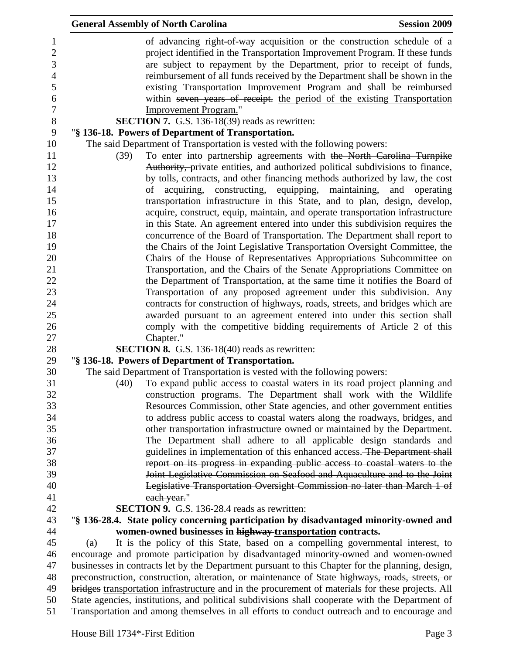|      | <b>General Assembly of North Carolina</b>                                                         | <b>Session 2009</b>              |
|------|---------------------------------------------------------------------------------------------------|----------------------------------|
|      | of advancing right-of-way acquisition or the construction schedule of a                           |                                  |
|      | project identified in the Transportation Improvement Program. If these funds                      |                                  |
|      | are subject to repayment by the Department, prior to receipt of funds,                            |                                  |
|      | reimbursement of all funds received by the Department shall be shown in the                       |                                  |
|      | existing Transportation Improvement Program and shall be reimbursed                               |                                  |
|      | within seven years of receipt. the period of the existing Transportation                          |                                  |
|      | <b>Improvement Program."</b>                                                                      |                                  |
|      | <b>SECTION 7.</b> G.S. 136-18(39) reads as rewritten:                                             |                                  |
|      | "§ 136-18. Powers of Department of Transportation.                                                |                                  |
|      | The said Department of Transportation is vested with the following powers:                        |                                  |
| (39) | To enter into partnership agreements with the North Carolina Turnpike                             |                                  |
|      | Authority, private entities, and authorized political subdivisions to finance,                    |                                  |
|      | by tolls, contracts, and other financing methods authorized by law, the cost                      |                                  |
|      | constructing, equipping,<br>of<br>acquiring,                                                      | maintaining,<br>and<br>operating |
|      | transportation infrastructure in this State, and to plan, design, develop,                        |                                  |
|      | acquire, construct, equip, maintain, and operate transportation infrastructure                    |                                  |
|      | in this State. An agreement entered into under this subdivision requires the                      |                                  |
|      | concurrence of the Board of Transportation. The Department shall report to                        |                                  |
|      | the Chairs of the Joint Legislative Transportation Oversight Committee, the                       |                                  |
|      | Chairs of the House of Representatives Appropriations Subcommittee on                             |                                  |
|      | Transportation, and the Chairs of the Senate Appropriations Committee on                          |                                  |
|      | the Department of Transportation, at the same time it notifies the Board of                       |                                  |
|      | Transportation of any proposed agreement under this subdivision. Any                              |                                  |
|      | contracts for construction of highways, roads, streets, and bridges which are                     |                                  |
|      | awarded pursuant to an agreement entered into under this section shall                            |                                  |
|      | comply with the competitive bidding requirements of Article 2 of this                             |                                  |
|      | Chapter."                                                                                         |                                  |
|      | SECTION 8. G.S. 136-18(40) reads as rewritten:                                                    |                                  |
|      | "§ 136-18. Powers of Department of Transportation.                                                |                                  |
|      | The said Department of Transportation is vested with the following powers:                        |                                  |
| (40) | To expand public access to coastal waters in its road project planning and                        |                                  |
|      | construction programs. The Department shall work with the Wildlife                                |                                  |
|      | Resources Commission, other State agencies, and other government entities                         |                                  |
|      | to address public access to coastal waters along the roadways, bridges, and                       |                                  |
|      | other transportation infrastructure owned or maintained by the Department.                        |                                  |
|      | The Department shall adhere to all applicable design standards and                                |                                  |
|      | guidelines in implementation of this enhanced access. The Department shall                        |                                  |
|      | report on its progress in expanding public access to coastal waters to the                        |                                  |
|      | Joint Legislative Commission on Seafood and Aquaculture and to the Joint                          |                                  |
|      | Legislative Transportation Oversight Commission no later than March 1 of                          |                                  |
|      | each year."                                                                                       |                                  |
|      | <b>SECTION 9.</b> G.S. 136-28.4 reads as rewritten:                                               |                                  |
|      | "§ 136-28.4. State policy concerning participation by disadvantaged minority-owned and            |                                  |
|      | women-owned businesses in highway transportation contracts.                                       |                                  |
| (a)  | It is the policy of this State, based on a compelling governmental interest, to                   |                                  |
|      | encourage and promote participation by disadvantaged minority-owned and women-owned               |                                  |
|      | businesses in contracts let by the Department pursuant to this Chapter for the planning, design,  |                                  |
|      | preconstruction, construction, alteration, or maintenance of State highways, roads, streets, or   |                                  |
|      | bridges transportation infrastructure and in the procurement of materials for these projects. All |                                  |
|      | State agencies, institutions, and political subdivisions shall cooperate with the Department of   |                                  |
|      | Transportation and among themselves in all efforts to conduct outreach and to encourage and       |                                  |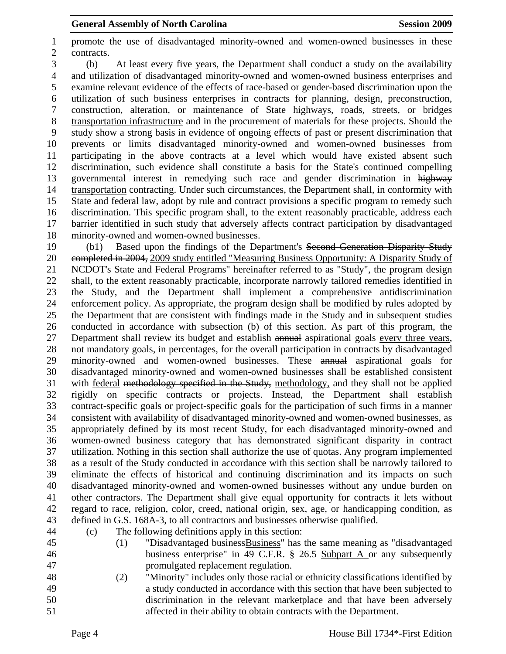1 promote the use of disadvantaged minority-owned and women-owned businesses in these 2 contracts.

3 (b) At least every five years, the Department shall conduct a study on the availability 4 and utilization of disadvantaged minority-owned and women-owned business enterprises and 5 examine relevant evidence of the effects of race-based or gender-based discrimination upon the 6 utilization of such business enterprises in contracts for planning, design, preconstruction, 7 construction, alteration, or maintenance of State highways, roads, streets, or bridges 8 transportation infrastructure and in the procurement of materials for these projects. Should the 9 study show a strong basis in evidence of ongoing effects of past or present discrimination that 10 prevents or limits disadvantaged minority-owned and women-owned businesses from 11 participating in the above contracts at a level which would have existed absent such 12 discrimination, such evidence shall constitute a basis for the State's continued compelling 13 governmental interest in remedying such race and gender discrimination in highway 14 transportation contracting. Under such circumstances, the Department shall, in conformity with 15 State and federal law, adopt by rule and contract provisions a specific program to remedy such 16 discrimination. This specific program shall, to the extent reasonably practicable, address each 17 barrier identified in such study that adversely affects contract participation by disadvantaged 18 minority-owned and women-owned businesses.

19 (b1) Based upon the findings of the Department's Second Generation Disparity Study 20 completed in 2004, 2009 study entitled "Measuring Business Opportunity: A Disparity Study of 21 NCDOT's State and Federal Programs" hereinafter referred to as "Study", the program design 22 shall, to the extent reasonably practicable, incorporate narrowly tailored remedies identified in 23 the Study, and the Department shall implement a comprehensive antidiscrimination 24 enforcement policy. As appropriate, the program design shall be modified by rules adopted by 25 the Department that are consistent with findings made in the Study and in subsequent studies 26 conducted in accordance with subsection (b) of this section. As part of this program, the 27 Department shall review its budget and establish annual aspirational goals every three years, 28 not mandatory goals, in percentages, for the overall participation in contracts by disadvantaged 29 minority-owned and women-owned businesses. These annual aspirational goals for 30 disadvantaged minority-owned and women-owned businesses shall be established consistent 31 with federal methodology specified in the Study, methodology, and they shall not be applied 32 rigidly on specific contracts or projects. Instead, the Department shall establish 33 contract-specific goals or project-specific goals for the participation of such firms in a manner 34 consistent with availability of disadvantaged minority-owned and women-owned businesses, as 35 appropriately defined by its most recent Study, for each disadvantaged minority-owned and 36 women-owned business category that has demonstrated significant disparity in contract 37 utilization. Nothing in this section shall authorize the use of quotas. Any program implemented 38 as a result of the Study conducted in accordance with this section shall be narrowly tailored to 39 eliminate the effects of historical and continuing discrimination and its impacts on such 40 disadvantaged minority-owned and women-owned businesses without any undue burden on 41 other contractors. The Department shall give equal opportunity for contracts it lets without 42 regard to race, religion, color, creed, national origin, sex, age, or handicapping condition, as 43 defined in G.S. 168A-3, to all contractors and businesses otherwise qualified.

- 
- 
- 44 (c) The following definitions apply in this section:
- 45 (1) "Disadvantaged businessBusiness" has the same meaning as "disadvantaged 46 business enterprise" in 49 C.F.R. § 26.5 Subpart A or any subsequently 47 promulgated replacement regulation.
- 48 (2) "Minority" includes only those racial or ethnicity classifications identified by 49 a study conducted in accordance with this section that have been subjected to 50 discrimination in the relevant marketplace and that have been adversely 51 affected in their ability to obtain contracts with the Department.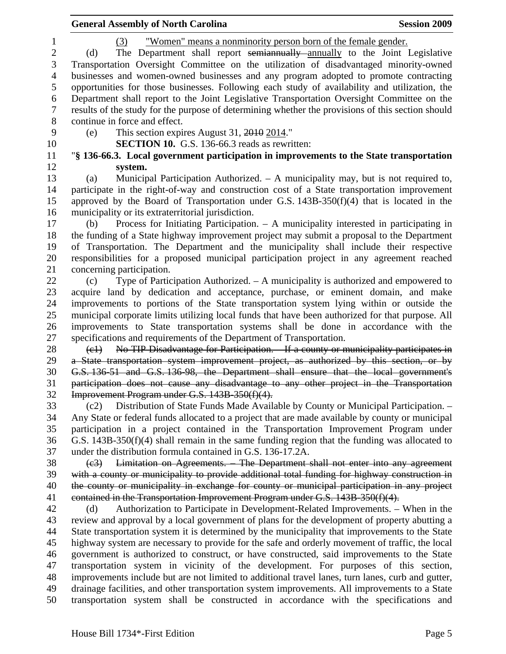**General Assembly of North Carolina**  Session 2009 **Session 2009** 1 (3) "Women" means a nonminority person born of the female gender. 2 (d) The Department shall report semiannually annually to the Joint Legislative 3 Transportation Oversight Committee on the utilization of disadvantaged minority-owned 4 businesses and women-owned businesses and any program adopted to promote contracting 5 opportunities for those businesses. Following each study of availability and utilization, the 6 Department shall report to the Joint Legislative Transportation Oversight Committee on the 7 results of the study for the purpose of determining whether the provisions of this section should 8 continue in force and effect. 9 (e) This section expires August 31, 2010 2014." 10 **SECTION 10.** G.S. 136-66.3 reads as rewritten: 11 "**§ 136-66.3. Local government participation in improvements to the State transportation**  12 **system.**  13 (a) Municipal Participation Authorized. – A municipality may, but is not required to, 14 participate in the right-of-way and construction cost of a State transportation improvement 15 approved by the Board of Transportation under G.S. 143B-350(f)(4) that is located in the 16 municipality or its extraterritorial jurisdiction. 17 (b) Process for Initiating Participation. – A municipality interested in participating in 18 the funding of a State highway improvement project may submit a proposal to the Department 19 of Transportation. The Department and the municipality shall include their respective 20 responsibilities for a proposed municipal participation project in any agreement reached 21 concerning participation. 22 (c) Type of Participation Authorized. – A municipality is authorized and empowered to 23 acquire land by dedication and acceptance, purchase, or eminent domain, and make 24 improvements to portions of the State transportation system lying within or outside the 25 municipal corporate limits utilizing local funds that have been authorized for that purpose. All 26 improvements to State transportation systems shall be done in accordance with the 27 specifications and requirements of the Department of Transportation. 28 (e1) No TIP Disadvantage for Participation. If a county or municipality participates in 29 a State transportation system improvement project, as authorized by this section, or by 30 G.S. 136-51 and G.S. 136-98, the Department shall ensure that the local government's 31 participation does not cause any disadvantage to any other project in the Transportation 32 Improvement Program under G.S. 143B-350(f)(4). 33 (c2) Distribution of State Funds Made Available by County or Municipal Participation. – 34 Any State or federal funds allocated to a project that are made available by county or municipal 35 participation in a project contained in the Transportation Improvement Program under 36 G.S. 143B-350(f)(4) shall remain in the same funding region that the funding was allocated to 37 under the distribution formula contained in G.S. 136-17.2A. 38 (c3) Limitation on Agreements. – The Department shall not enter into any agreement 39 with a county or municipality to provide additional total funding for highway construction in 40 the county or municipality in exchange for county or municipal participation in any project 41 contained in the Transportation Improvement Program under G.S. 143B-350(f)(4). 42 (d) Authorization to Participate in Development-Related Improvements. – When in the 43 review and approval by a local government of plans for the development of property abutting a 44 State transportation system it is determined by the municipality that improvements to the State 45 highway system are necessary to provide for the safe and orderly movement of traffic, the local 46 government is authorized to construct, or have constructed, said improvements to the State 47 transportation system in vicinity of the development. For purposes of this section, 48 improvements include but are not limited to additional travel lanes, turn lanes, curb and gutter, 49 drainage facilities, and other transportation system improvements. All improvements to a State 50 transportation system shall be constructed in accordance with the specifications and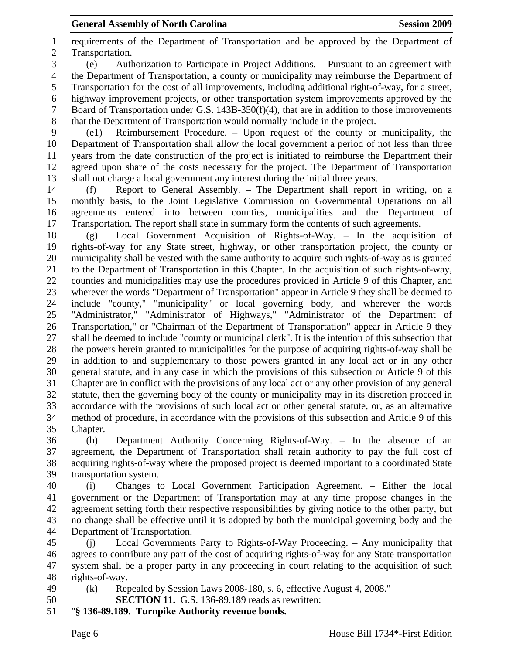1 requirements of the Department of Transportation and be approved by the Department of 2 Transportation. 3 (e) Authorization to Participate in Project Additions. – Pursuant to an agreement with 4 the Department of Transportation, a county or municipality may reimburse the Department of 5 Transportation for the cost of all improvements, including additional right-of-way, for a street, 6 highway improvement projects, or other transportation system improvements approved by the 7 Board of Transportation under G.S. 143B-350(f)(4), that are in addition to those improvements 8 that the Department of Transportation would normally include in the project. 9 (e1) Reimbursement Procedure. – Upon request of the county or municipality, the 10 Department of Transportation shall allow the local government a period of not less than three 11 years from the date construction of the project is initiated to reimburse the Department their 12 agreed upon share of the costs necessary for the project. The Department of Transportation 13 shall not charge a local government any interest during the initial three years. 14 (f) Report to General Assembly. – The Department shall report in writing, on a 15 monthly basis, to the Joint Legislative Commission on Governmental Operations on all 16 agreements entered into between counties, municipalities and the Department of 17 Transportation. The report shall state in summary form the contents of such agreements. 18 (g) Local Government Acquisition of Rights-of-Way. – In the acquisition of 19 rights-of-way for any State street, highway, or other transportation project, the county or 20 municipality shall be vested with the same authority to acquire such rights-of-way as is granted 21 to the Department of Transportation in this Chapter. In the acquisition of such rights-of-way, 22 counties and municipalities may use the procedures provided in Article 9 of this Chapter, and 23 wherever the words "Department of Transportation" appear in Article 9 they shall be deemed to 24 include "county," "municipality" or local governing body, and wherever the words 25 "Administrator," "Administrator of Highways," "Administrator of the Department of 26 Transportation," or "Chairman of the Department of Transportation" appear in Article 9 they 27 shall be deemed to include "county or municipal clerk". It is the intention of this subsection that 28 the powers herein granted to municipalities for the purpose of acquiring rights-of-way shall be 29 in addition to and supplementary to those powers granted in any local act or in any other 30 general statute, and in any case in which the provisions of this subsection or Article 9 of this 31 Chapter are in conflict with the provisions of any local act or any other provision of any general 32 statute, then the governing body of the county or municipality may in its discretion proceed in 33 accordance with the provisions of such local act or other general statute, or, as an alternative 34 method of procedure, in accordance with the provisions of this subsection and Article 9 of this 35 Chapter.

36 (h) Department Authority Concerning Rights-of-Way. – In the absence of an 37 agreement, the Department of Transportation shall retain authority to pay the full cost of 38 acquiring rights-of-way where the proposed project is deemed important to a coordinated State 39 transportation system.

40 (i) Changes to Local Government Participation Agreement. – Either the local 41 government or the Department of Transportation may at any time propose changes in the 42 agreement setting forth their respective responsibilities by giving notice to the other party, but 43 no change shall be effective until it is adopted by both the municipal governing body and the 44 Department of Transportation.

45 (j) Local Governments Party to Rights-of-Way Proceeding. – Any municipality that 46 agrees to contribute any part of the cost of acquiring rights-of-way for any State transportation 47 system shall be a proper party in any proceeding in court relating to the acquisition of such 48 rights-of-way.

- 49 (k) Repealed by Session Laws 2008-180, s. 6, effective August 4, 2008."
- 50 **SECTION 11.** G.S. 136-89.189 reads as rewritten:
- 51 "**§ 136-89.189. Turnpike Authority revenue bonds.**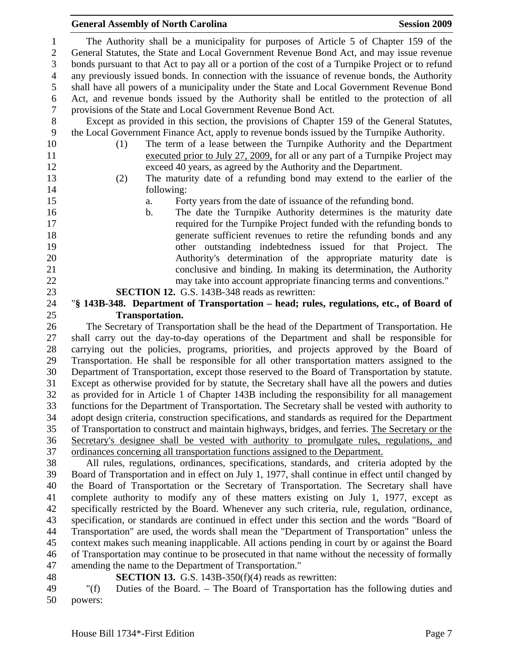|                | <b>General Assembly of North Carolina</b><br><b>Session 2009</b>                                                  |
|----------------|-------------------------------------------------------------------------------------------------------------------|
| 1              | The Authority shall be a municipality for purposes of Article 5 of Chapter 159 of the                             |
| $\sqrt{2}$     | General Statutes, the State and Local Government Revenue Bond Act, and may issue revenue                          |
| 3              | bonds pursuant to that Act to pay all or a portion of the cost of a Turnpike Project or to refund                 |
| $\overline{4}$ | any previously issued bonds. In connection with the issuance of revenue bonds, the Authority                      |
| 5              | shall have all powers of a municipality under the State and Local Government Revenue Bond                         |
| 6              | Act, and revenue bonds issued by the Authority shall be entitled to the protection of all                         |
| $\tau$         | provisions of the State and Local Government Revenue Bond Act.                                                    |
| $8\phantom{.}$ | Except as provided in this section, the provisions of Chapter 159 of the General Statutes,                        |
| 9              | the Local Government Finance Act, apply to revenue bonds issued by the Turnpike Authority.                        |
| 10             | The term of a lease between the Turnpike Authority and the Department<br>(1)                                      |
| 11             | executed prior to July 27, 2009, for all or any part of a Turnpike Project may                                    |
| 12             | exceed 40 years, as agreed by the Authority and the Department.                                                   |
| 13             | The maturity date of a refunding bond may extend to the earlier of the<br>(2)                                     |
| 14             | following:                                                                                                        |
| 15             | Forty years from the date of issuance of the refunding bond.<br>a.                                                |
| 16             | The date the Turnpike Authority determines is the maturity date<br>b.                                             |
| 17             | required for the Turnpike Project funded with the refunding bonds to                                              |
| 18             | generate sufficient revenues to retire the refunding bonds and any                                                |
| 19             | other outstanding indebtedness issued for that Project. The                                                       |
| 20             | Authority's determination of the appropriate maturity date is                                                     |
| 21             | conclusive and binding. In making its determination, the Authority                                                |
| 22             | may take into account appropriate financing terms and conventions."                                               |
| 23             | <b>SECTION 12.</b> G.S. 143B-348 reads as rewritten:                                                              |
| 24<br>25       | "§ 143B-348. Department of Transportation – head; rules, regulations, etc., of Board of<br><b>Transportation.</b> |
| 26             | The Secretary of Transportation shall be the head of the Department of Transportation. He                         |
| 27             | shall carry out the day-to-day operations of the Department and shall be responsible for                          |
| 28             | carrying out the policies, programs, priorities, and projects approved by the Board of                            |
| 29             | Transportation. He shall be responsible for all other transportation matters assigned to the                      |
| 30             | Department of Transportation, except those reserved to the Board of Transportation by statute.                    |
| 31             | Except as otherwise provided for by statute, the Secretary shall have all the powers and duties                   |
|                |                                                                                                                   |

32 as provided for in Article 1 of Chapter 143B including the responsibility for all management 33 functions for the Department of Transportation. The Secretary shall be vested with authority to 34 adopt design criteria, construction specifications, and standards as required for the Department 35 of Transportation to construct and maintain highways, bridges, and ferries. The Secretary or the 36 Secretary's designee shall be vested with authority to promulgate rules, regulations, and 37 ordinances concerning all transportation functions assigned to the Department.

38 All rules, regulations, ordinances, specifications, standards, and criteria adopted by the 39 Board of Transportation and in effect on July 1, 1977, shall continue in effect until changed by 40 the Board of Transportation or the Secretary of Transportation. The Secretary shall have 41 complete authority to modify any of these matters existing on July 1, 1977, except as 42 specifically restricted by the Board. Whenever any such criteria, rule, regulation, ordinance, 43 specification, or standards are continued in effect under this section and the words "Board of 44 Transportation" are used, the words shall mean the "Department of Transportation" unless the 45 context makes such meaning inapplicable. All actions pending in court by or against the Board 46 of Transportation may continue to be prosecuted in that name without the necessity of formally 47 amending the name to the Department of Transportation."

48 **SECTION 13.** G.S. 143B-350(f)(4) reads as rewritten:

49 "(f) Duties of the Board. – The Board of Transportation has the following duties and 50 powers: